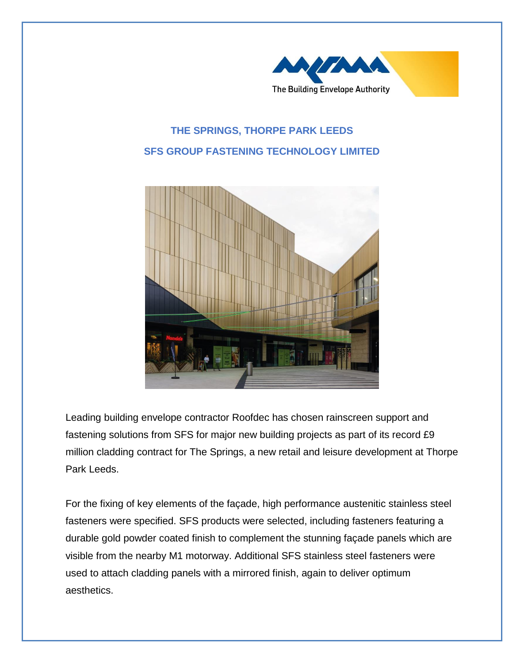

## **THE SPRINGS, THORPE PARK LEEDS SFS GROUP FASTENING TECHNOLOGY LIMITED**



Leading building envelope contractor Roofdec has chosen rainscreen support and fastening solutions from SFS for major new building projects as part of its record £9 million cladding contract for The Springs, a new retail and leisure development at Thorpe Park Leeds.

For the fixing of key elements of the façade, high performance austenitic stainless steel fasteners were specified. SFS products were selected, including fasteners featuring a durable gold powder coated finish to complement the stunning façade panels which are visible from the nearby M1 motorway. Additional SFS stainless steel fasteners were used to attach cladding panels with a mirrored finish, again to deliver optimum aesthetics.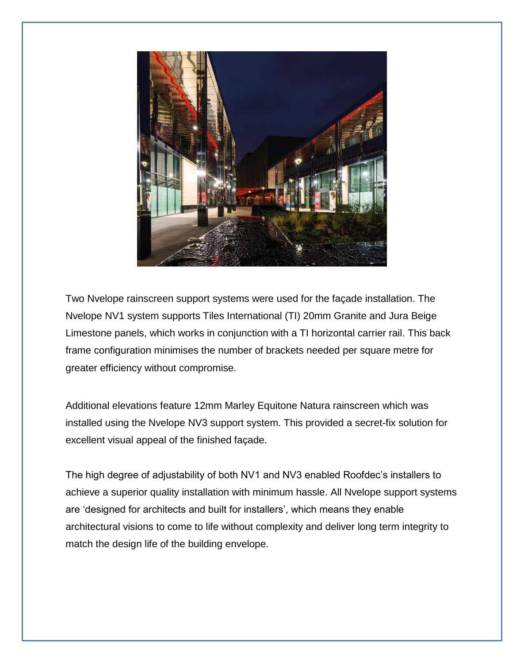

Two Nvelope rainscreen support systems were used for the façade installation. The Nvelope NV1 system supports Tiles International (TI) 20mm Granite and Jura Beige Limestone panels, which works in conjunction with a TI horizontal carrier rail. This back frame configuration minimises the number of brackets needed per square metre for greater efficiency without compromise.

Additional elevations feature 12mm Marley Equitone Natura rainscreen which was installed using the Nvelope NV3 support system. This provided a secret-fix solution for excellent visual appeal of the finished façade.

The high degree of adjustability of both NV1 and NV3 enabled Roofdec's installers to achieve a superior quality installation with minimum hassle. All Nvelope support systems are 'designed for architects and built for installers', which means they enable architectural visions to come to life without complexity and deliver long term integrity to match the design life of the building envelope.